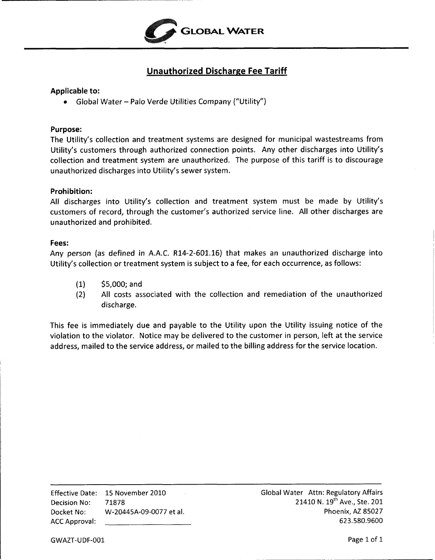

# **Unauthorized Discharge Fee Tariff**

## **Applicable to:**

*<sup>0</sup>*Global Water - Palo Verde Utilities Company ("Utility")

#### **Purpose:**

The Utility's collection and treatment systems are designed for municipal wastestreams from Utility's customers through authorized connection points. Any other discharges into Utility's collection and treatment system are unauthorized. The purpose of this tariff is to discourage unauthorized discharges into Utility's sewer system.

## **Prohibition:**

**All** discharges into Utility's collection and treatment system must be made by Utility's customers of record, through the customer's authorized service line. All other discharges are unauthorized and prohibited.

## **Fees:**

Any person (as defined in A.A.C. **R14-2-601.16)** that makes an unauthorized discharge into Utility's collection or treatment system is subject to a fee, for each occurrence, as follows:

- **(1) \$5,000;** and
- **(2)** All costs associated with the collection and remediation of the unauthorized discharge.

This fee is immediately due and payable to the Utility upon the Utility issuing notice of the violation to the violator. Notice may be delivered to the customer in person, left at the service address, mailed to the service address, or mailed to the billing address for the service location.

Effective Date: 15 November 2010 Global Water Attn: Regulatory Affairs Decision No:  $71878$  21410 N.  $19^{th}$  Ave., Ste. 201 Docket No: W-20445A-09-0077 et al. Phoenix, AZ 85027 ACC Approval: 623.580.9600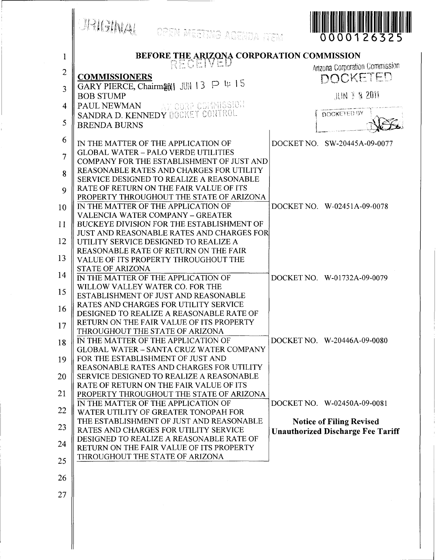|                | <b>JRIGINAL</b><br>OPEN MEETING AGENDA ITEM                                           | 0000126325                               |
|----------------|---------------------------------------------------------------------------------------|------------------------------------------|
| $\mathbf 1$    | <b>BEFORE THE ARIZONA CORPORATION COMMISSION<br/>REGENVED</b>                         |                                          |
| $\overline{2}$ |                                                                                       | <b>Anzona Corporation Commission</b>     |
| 3              | <b>COMMISSIONERS</b><br>GARY PIERCE, Chairman JUN 13 P 4: 15                          | DOCKETED                                 |
|                | <b>BOB STUMP</b>                                                                      | <b>JUN E &amp; 2011</b>                  |
| 4              | AM CORP COMMISSION<br>PAUL NEWMAN<br>SANDRA D. KENNEDY DOCKET CONTROL                 | DOCKETED BY                              |
| 5              | <b>BRENDA BURNS</b>                                                                   |                                          |
| 6              | IN THE MATTER OF THE APPLICATION OF                                                   | DOCKET NO. SW-20445A-09-0077             |
| $\overline{7}$ | <b>GLOBAL WATER - PALO VERDE UTILITIES</b>                                            |                                          |
|                | COMPANY FOR THE ESTABLISHMENT OF JUST AND<br>REASONABLE RATES AND CHARGES FOR UTILITY |                                          |
| 8              | SERVICE DESIGNED TO REALIZE A REASONABLE                                              |                                          |
| $\mathbf Q$    | RATE OF RETURN ON THE FAIR VALUE OF ITS<br>PROPERTY THROUGHOUT THE STATE OF ARIZONA   |                                          |
| 10             | IN THE MATTER OF THE APPLICATION OF                                                   | DOCKET NO. W-02451A-09-0078              |
| 11             | <b>VALENCIA WATER COMPANY - GREATER</b><br>BUCKEYE DIVISION FOR THE ESTABLISHMENT OF  |                                          |
|                | <b>JUST AND REASONABLE RATES AND CHARGES FOR</b>                                      |                                          |
| 12             | UTILITY SERVICE DESIGNED TO REALIZE A<br>REASONABLE RATE OF RETURN ON THE FAIR        |                                          |
| 13             | VALUE OF ITS PROPERTY THROUGHOUT THE                                                  |                                          |
| 14             | <b>STATE OF ARIZONA</b><br>IN THE MATTER OF THE APPLICATION OF                        | DOCKET NO. W-01732A-09-0079              |
| 15             | WILLOW VALLEY WATER CO. FOR THE                                                       |                                          |
|                | ESTABLISHMENT OF JUST AND REASONABLE<br>RATES AND CHARGES FOR UTILITY SERVICE         |                                          |
| 16             | DESIGNED TO REALIZE A REASONABLE RATE OF                                              |                                          |
| 17             | RETURN ON THE FAIR VALUE OF ITS PROPERTY<br>THROUGHOUT THE STATE OF ARIZONA           |                                          |
| 18             | IN THE MATTER OF THE APPLICATION OF                                                   | DOCKET NO. W-20446A-09-0080              |
| 19             | <b>GLOBAL WATER - SANTA CRUZ WATER COMPANY</b><br>FOR THE ESTABLISHMENT OF JUST AND   |                                          |
|                | REASONABLE RATES AND CHARGES FOR UTILITY                                              |                                          |
| 20             | SERVICE DESIGNED TO REALIZE A REASONABLE<br>RATE OF RETURN ON THE FAIR VALUE OF ITS   |                                          |
| 21             | PROPERTY THROUGHOUT THE STATE OF ARIZONA<br>IN THE MATTER OF THE APPLICATION OF       | DOCKET NO. W-02450A-09-0081              |
| 22             | WATER UTILITY OF GREATER TONOPAH FOR                                                  |                                          |
| 23             | THE ESTABLISHMENT OF JUST AND REASONABLE<br>RATES AND CHARGES FOR UTILITY SERVICE     | <b>Notice of Filing Revised</b>          |
| 24             | DESIGNED TO REALIZE A REASONABLE RATE OF                                              | <b>Unauthorized Discharge Fee Tariff</b> |
|                | RETURN ON THE FAIR VALUE OF ITS PROPERTY<br>THROUGHOUT THE STATE OF ARIZONA           |                                          |
| 25             |                                                                                       |                                          |
| 26             |                                                                                       |                                          |
| 27             |                                                                                       |                                          |
|                |                                                                                       |                                          |
|                |                                                                                       |                                          |
|                |                                                                                       |                                          |
|                |                                                                                       |                                          |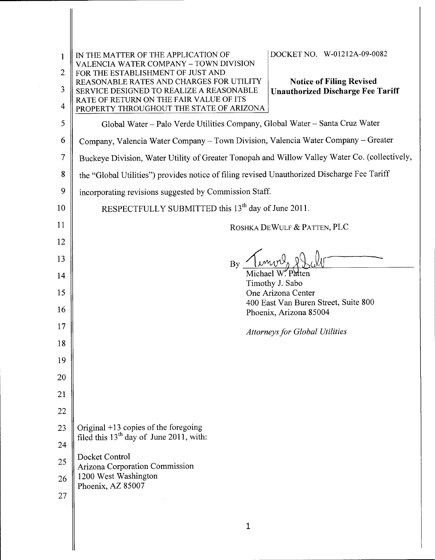<span id="page-2-0"></span>

| 1<br>2         | DOCKET NO. W-01212A-09-0082<br>IN THE MATTER OF THE APPLICATION OF<br>VALENCIA WATER COMPANY - TOWN DIVISION<br>FOR THE ESTABLISHMENT OF JUST AND |  |  |
|----------------|---------------------------------------------------------------------------------------------------------------------------------------------------|--|--|
| 3              | REASONABLE RATES AND CHARGES FOR UTILITY<br><b>Notice of Filing Revised</b>                                                                       |  |  |
| 4              | <b>Unauthorized Discharge Fee Tariff</b><br>SERVICE DESIGNED TO REALIZE A REASONABLE<br>RATE OF RETURN ON THE FAIR VALUE OF ITS                   |  |  |
| 5              | PROPERTY THROUGHOUT THE STATE OF ARIZONA<br>Global Water - Palo Verde Utilities Company, Global Water - Santa Cruz Water                          |  |  |
| 6              | Company, Valencia Water Company - Town Division, Valencia Water Company - Greater                                                                 |  |  |
| $\overline{7}$ | Buckeye Division, Water Utility of Greater Tonopah and Willow Valley Water Co. (collectively,                                                     |  |  |
| 8              | the "Global Utilities") provides notice of filing revised Unauthorized Discharge Fee Tariff                                                       |  |  |
| 9              | incorporating revisions suggested by Commission Staff.                                                                                            |  |  |
| 10             | RESPECTFULLY SUBMITTED this 13 <sup>th</sup> day of June 2011.                                                                                    |  |  |
| 11             |                                                                                                                                                   |  |  |
| 12             | ROSHKA DEWULF & PATTEN, PLC                                                                                                                       |  |  |
| 13             |                                                                                                                                                   |  |  |
| 14             | Michael W. Patten                                                                                                                                 |  |  |
| 15             | Timothy J. Sabo<br>One Arizona Center                                                                                                             |  |  |
| 16             | 400 East Van Buren Street, Suite 800<br>Phoenix, Arizona 85004                                                                                    |  |  |
| 17             |                                                                                                                                                   |  |  |
| 18             | <b>Attorneys for Global Utilities</b>                                                                                                             |  |  |
| 19             |                                                                                                                                                   |  |  |
| 20             |                                                                                                                                                   |  |  |
| 21             |                                                                                                                                                   |  |  |
| 22             |                                                                                                                                                   |  |  |
| 23             | Original $+13$ copies of the foregoing                                                                                                            |  |  |
| 24             | filed this $13th$ day of June 2011, with:                                                                                                         |  |  |
| 25             | Docket Control                                                                                                                                    |  |  |
| 26             | Arizona Corporation Commission<br>1200 West Washington                                                                                            |  |  |
| 27             | Phoenix, AZ 85007                                                                                                                                 |  |  |
|                |                                                                                                                                                   |  |  |
|                | 1                                                                                                                                                 |  |  |